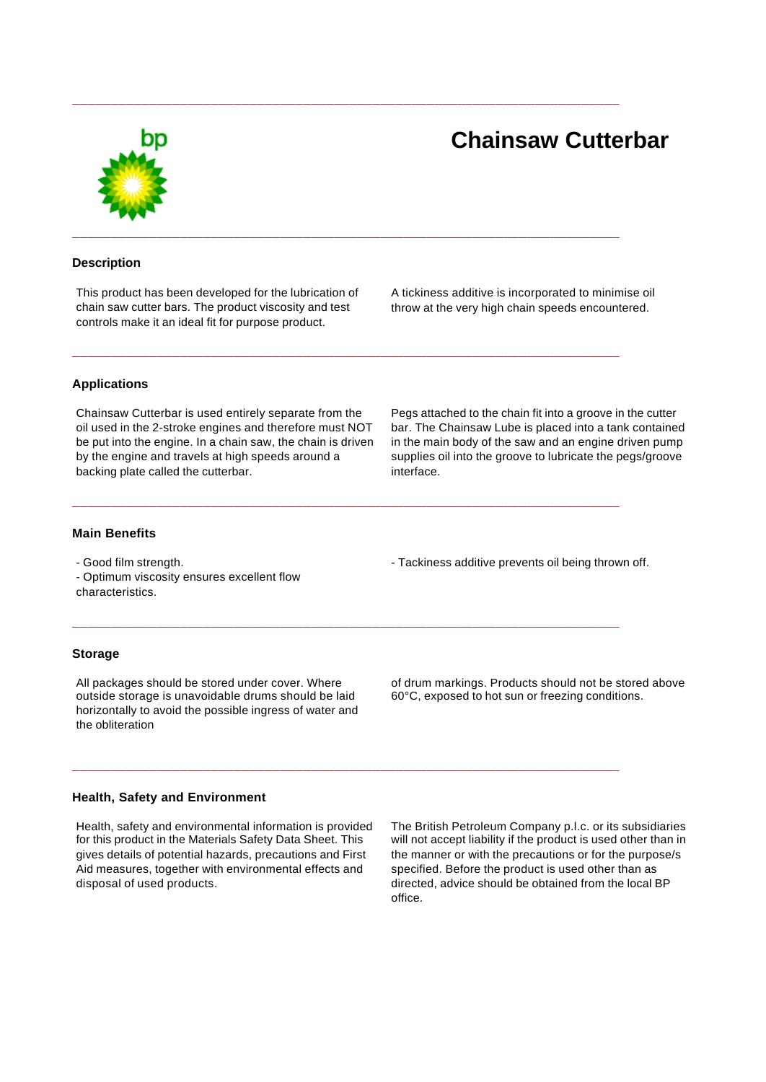# **Chainsaw Cutterbar**

#### **Description**

This product has been developed for the lubrication of chain saw cutter bars. The product viscosity and test controls make it an ideal fit for purpose product.

**\_\_\_\_\_\_\_\_\_\_\_\_\_\_\_\_\_\_\_\_\_\_\_\_\_\_\_\_\_\_\_\_\_\_\_\_\_\_\_\_\_\_\_\_\_\_\_\_\_\_\_\_\_\_\_\_\_\_\_\_\_\_\_\_\_\_\_\_\_\_\_**

**\_\_\_\_\_\_\_\_\_\_\_\_\_\_\_\_\_\_\_\_\_\_\_\_\_\_\_\_\_\_\_\_\_\_\_\_\_\_\_\_\_\_\_\_\_\_\_\_\_\_\_\_\_\_\_\_\_\_\_\_\_\_\_\_\_\_\_\_\_\_\_**

**\_\_\_\_\_\_\_\_\_\_\_\_\_\_\_\_\_\_\_\_\_\_\_\_\_\_\_\_\_\_\_\_\_\_\_\_\_\_\_\_\_\_\_\_\_\_\_\_\_\_\_\_\_\_\_\_\_\_\_\_\_\_\_\_\_\_\_\_\_\_\_**

**\_\_\_\_\_\_\_\_\_\_\_\_\_\_\_\_\_\_\_\_\_\_\_\_\_\_\_\_\_\_\_\_\_\_\_\_\_\_\_\_\_\_\_\_\_\_\_\_\_\_\_\_\_\_\_\_\_\_\_\_\_\_\_\_\_\_\_\_\_\_\_**

**\_\_\_\_\_\_\_\_\_\_\_\_\_\_\_\_\_\_\_\_\_\_\_\_\_\_\_\_\_\_\_\_\_\_\_\_\_\_\_\_\_\_\_\_\_\_\_\_\_\_\_\_\_\_\_\_\_\_\_\_\_\_\_\_\_\_\_\_\_\_\_**

**\_\_\_\_\_\_\_\_\_\_\_\_\_\_\_\_\_\_\_\_\_\_\_\_\_\_\_\_\_\_\_\_\_\_\_\_\_\_\_\_\_\_\_\_\_\_\_\_\_\_\_\_\_\_\_\_\_\_\_\_\_\_\_\_\_\_\_\_\_\_\_**

A tickiness additive is incorporated to minimise oil throw at the very high chain speeds encountered.

### **Applications**

Chainsaw Cutterbar is used entirely separate from the oil used in the 2-stroke engines and therefore must NOT be put into the engine. In a chain saw, the chain is driven by the engine and travels at high speeds around a backing plate called the cutterbar.

Pegs attached to the chain fit into a groove in the cutter bar. The Chainsaw Lube is placed into a tank contained in the main body of the saw and an engine driven pump supplies oil into the groove to lubricate the pegs/groove interface.

#### **Main Benefits**

- Good film strength.

- Optimum viscosity ensures excellent flow characteristics.

#### **Storage**

All packages should be stored under cover. Where outside storage is unavoidable drums should be laid horizontally to avoid the possible ingress of water and the obliteration

#### **Health, Safety and Environment**

Health, safety and environmental information is provided for this product in the Materials Safety Data Sheet. This gives details of potential hazards, precautions and First Aid measures, together with environmental effects and disposal of used products.

- Tackiness additive prevents oil being thrown off.

of drum markings. Products should not be stored above 60°C, exposed to hot sun or freezing conditions.

The British Petroleum Company p.l.c. or its subsidiaries will not accept liability if the product is used other than in the manner or with the precautions or for the purpose/s specified. Before the product is used other than as directed, advice should be obtained from the local BP office.